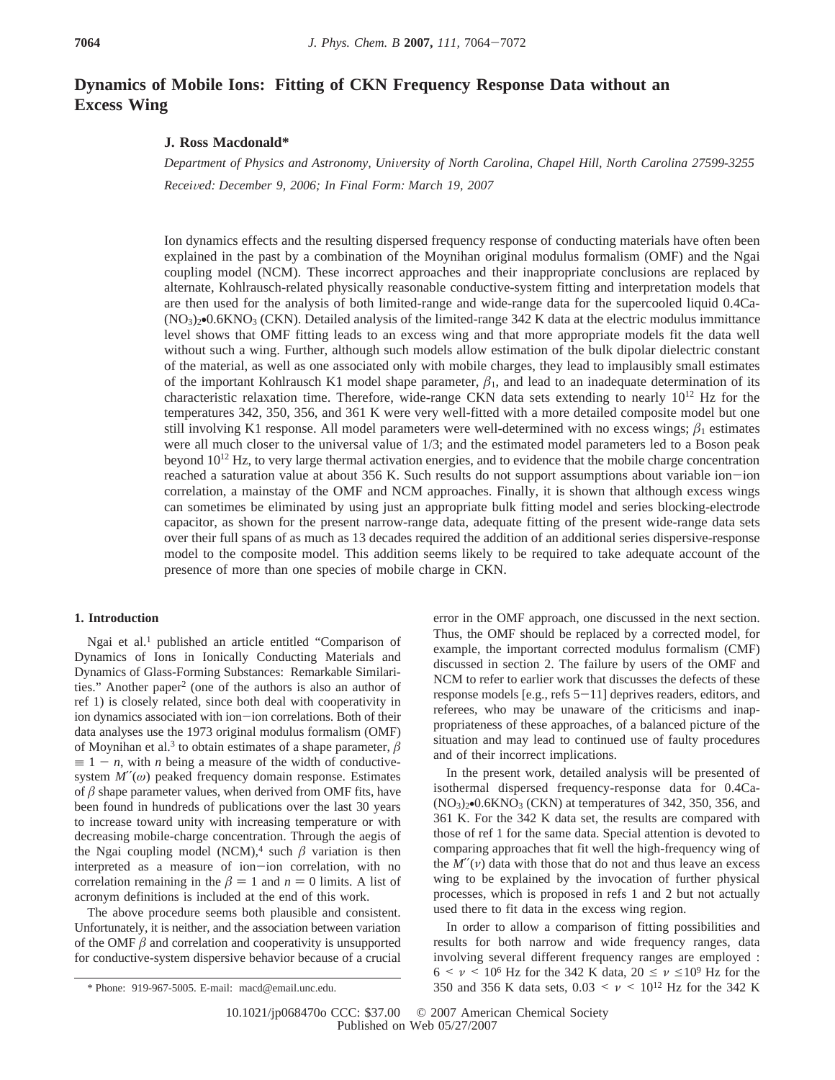# **Dynamics of Mobile Ions: Fitting of CKN Frequency Response Data without an Excess Wing**

## **J. Ross Macdonald\***

*Department of Physics and Astronomy, Uni*V*ersity of North Carolina, Chapel Hill, North Carolina 27599-3255 Recei*V*ed: December 9, 2006; In Final Form: March 19, 2007*

Ion dynamics effects and the resulting dispersed frequency response of conducting materials have often been explained in the past by a combination of the Moynihan original modulus formalism (OMF) and the Ngai coupling model (NCM). These incorrect approaches and their inappropriate conclusions are replaced by alternate, Kohlrausch-related physically reasonable conductive-system fitting and interpretation models that are then used for the analysis of both limited-range and wide-range data for the supercooled liquid 0.4Ca-  $(NO<sub>3</sub>)<sub>2</sub>$ •0.6KNO<sub>3</sub> (CKN). Detailed analysis of the limited-range 342 K data at the electric modulus immittance level shows that OMF fitting leads to an excess wing and that more appropriate models fit the data well without such a wing. Further, although such models allow estimation of the bulk dipolar dielectric constant of the material, as well as one associated only with mobile charges, they lead to implausibly small estimates of the important Kohlrausch K1 model shape parameter,  $\beta_1$ , and lead to an inadequate determination of its characteristic relaxation time. Therefore, wide-range CKN data sets extending to nearly  $10^{12}$  Hz for the temperatures 342, 350, 356, and 361 K were very well-fitted with a more detailed composite model but one still involving K1 response. All model parameters were well-determined with no excess wings;  $\beta_1$  estimates were all much closer to the universal value of 1/3; and the estimated model parameters led to a Boson peak beyond 1012 Hz, to very large thermal activation energies, and to evidence that the mobile charge concentration reached a saturation value at about 356 K. Such results do not support assumptions about variable ion-ion correlation, a mainstay of the OMF and NCM approaches. Finally, it is shown that although excess wings can sometimes be eliminated by using just an appropriate bulk fitting model and series blocking-electrode capacitor, as shown for the present narrow-range data, adequate fitting of the present wide-range data sets over their full spans of as much as 13 decades required the addition of an additional series dispersive-response model to the composite model. This addition seems likely to be required to take adequate account of the presence of more than one species of mobile charge in CKN.

#### **1. Introduction**

Ngai et al.1 published an article entitled "Comparison of Dynamics of Ions in Ionically Conducting Materials and Dynamics of Glass-Forming Substances: Remarkable Similarities." Another paper<sup>2</sup> (one of the authors is also an author of ref 1) is closely related, since both deal with cooperativity in ion dynamics associated with ion-ion correlations. Both of their data analyses use the 1973 original modulus formalism (OMF) of Moynihan et al.<sup>3</sup> to obtain estimates of a shape parameter,  $\beta$  $\equiv 1 - n$ , with *n* being a measure of the width of conductivesystem  $M''(\omega)$  peaked frequency domain response. Estimates of  $\beta$  shape parameter values, when derived from OMF fits, have been found in hundreds of publications over the last 30 years to increase toward unity with increasing temperature or with decreasing mobile-charge concentration. Through the aegis of the Ngai coupling model (NCM),<sup>4</sup> such  $\beta$  variation is then interpreted as a measure of ion-ion correlation, with no correlation remaining in the  $\beta = 1$  and  $n = 0$  limits. A list of acronym definitions is included at the end of this work.

The above procedure seems both plausible and consistent. Unfortunately, it is neither, and the association between variation of the OMF  $\beta$  and correlation and cooperativity is unsupported for conductive-system dispersive behavior because of a crucial

error in the OMF approach, one discussed in the next section. Thus, the OMF should be replaced by a corrected model, for example, the important corrected modulus formalism (CMF) discussed in section 2. The failure by users of the OMF and NCM to refer to earlier work that discusses the defects of these response models  $[e.g.,$  refs  $5-11]$  deprives readers, editors, and referees, who may be unaware of the criticisms and inappropriateness of these approaches, of a balanced picture of the situation and may lead to continued use of faulty procedures and of their incorrect implications.

In the present work, detailed analysis will be presented of isothermal dispersed frequency-response data for 0.4Ca-  $(NO<sub>3</sub>)<sub>2</sub>$ •0.6KNO<sub>3</sub> (CKN) at temperatures of 342, 350, 356, and 361 K. For the 342 K data set, the results are compared with those of ref 1 for the same data. Special attention is devoted to comparing approaches that fit well the high-frequency wing of the  $M''(v)$  data with those that do not and thus leave an excess wing to be explained by the invocation of further physical processes, which is proposed in refs 1 and 2 but not actually used there to fit data in the excess wing region.

In order to allow a comparison of fitting possibilities and results for both narrow and wide frequency ranges, data involving several different frequency ranges are employed :  $6 \leq \nu \leq 10^6$  Hz for the 342 K data,  $20 \leq \nu \leq 10^9$  Hz for the  $*$  Phone: 919-967-5005. E-mail: macd@email.unc.edu. 250 and 356 K data sets, 0.03  $\lt v \lt 10^{12}$  Hz for the 342 K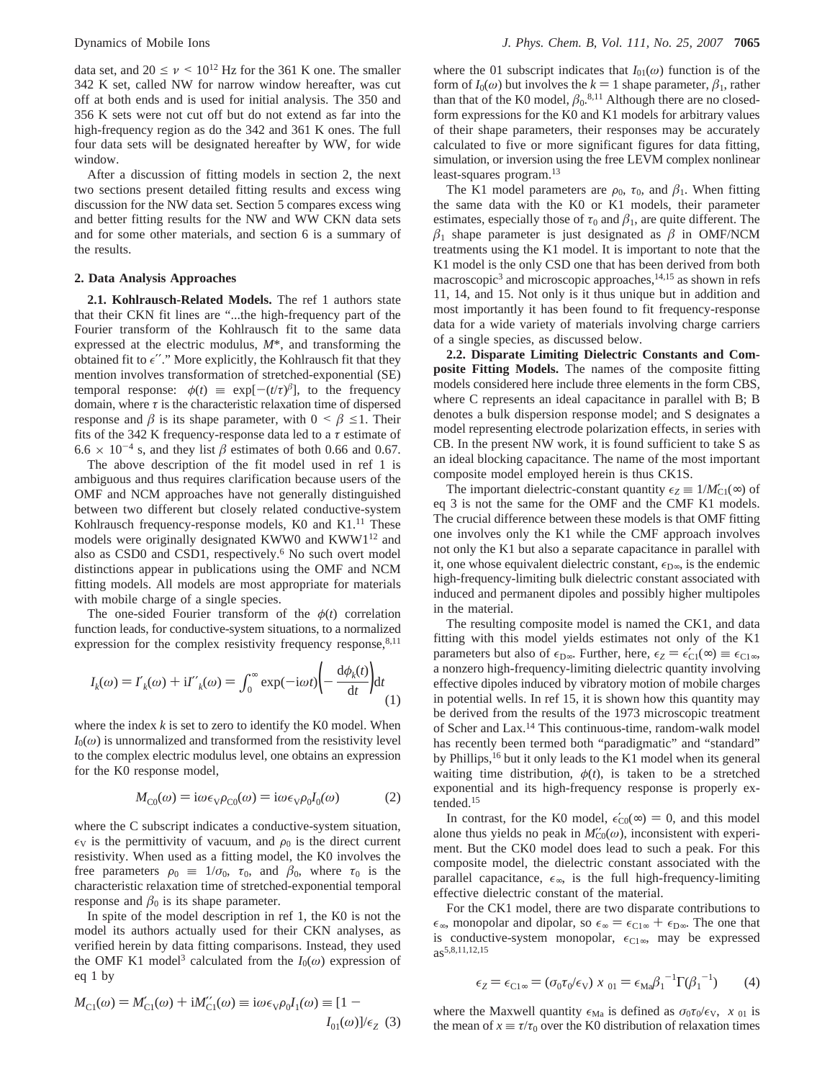data set, and  $20 \le \nu \le 10^{12}$  Hz for the 361 K one. The smaller 342 K set, called NW for narrow window hereafter, was cut off at both ends and is used for initial analysis. The 350 and 356 K sets were not cut off but do not extend as far into the high-frequency region as do the 342 and 361 K ones. The full four data sets will be designated hereafter by WW, for wide window.

After a discussion of fitting models in section 2, the next two sections present detailed fitting results and excess wing discussion for the NW data set. Section 5 compares excess wing and better fitting results for the NW and WW CKN data sets and for some other materials, and section 6 is a summary of the results.

## **2. Data Analysis Approaches**

**2.1. Kohlrausch-Related Models.** The ref 1 authors state that their CKN fit lines are "...the high-frequency part of the Fourier transform of the Kohlrausch fit to the same data expressed at the electric modulus, *M*\*, and transforming the obtained fit to  $\epsilon$ "." More explicitly, the Kohlrausch fit that they mention involves transformation of stretched-exponential (SE) temporal response:  $\phi(t) \equiv \exp[-(t/\tau)^{\beta}]$ , to the frequency domain, where  $\tau$  is the characteristic relaxation time of dispersed response and  $\beta$  is its shape parameter, with  $0 \leq \beta \leq 1$ . Their fits of the 342 K frequency-response data led to a *τ* estimate of  $6.6 \times 10^{-4}$  s, and they list  $\beta$  estimates of both 0.66 and 0.67.

The above description of the fit model used in ref 1 is ambiguous and thus requires clarification because users of the OMF and NCM approaches have not generally distinguished between two different but closely related conductive-system Kohlrausch frequency-response models, K0 and K1.<sup>11</sup> These models were originally designated KWW0 and KWW1<sup>12</sup> and also as CSD0 and CSD1, respectively.6 No such overt model distinctions appear in publications using the OMF and NCM fitting models. All models are most appropriate for materials with mobile charge of a single species.

The one-sided Fourier transform of the  $\phi(t)$  correlation function leads, for conductive-system situations, to a normalized expression for the complex resistivity frequency response, $8,11$ 

$$
I_k(\omega) = I'_k(\omega) + iI''_k(\omega) = \int_0^\infty \exp(-i\omega t) \left( -\frac{d\phi_k(t)}{dt} \right) dt
$$
\n(1)

where the index  $k$  is set to zero to identify the K0 model. When  $I_0(\omega)$  is unnormalized and transformed from the resistivity level to the complex electric modulus level, one obtains an expression for the K0 response model,

$$
M_{\text{C}0}(\omega) = i\omega \epsilon_{\text{V}} \rho_{\text{C}0}(\omega) = i\omega \epsilon_{\text{V}} \rho_0 I_0(\omega) \tag{2}
$$

where the C subscript indicates a conductive-system situation,  $\epsilon_{\rm V}$  is the permittivity of vacuum, and  $\rho_0$  is the direct current resistivity. When used as a fitting model, the K0 involves the free parameters  $\rho_0 \equiv 1/\sigma_0$ ,  $\tau_0$ , and  $\beta_0$ , where  $\tau_0$  is the characteristic relaxation time of stretched-exponential temporal response and  $\beta_0$  is its shape parameter.

In spite of the model description in ref 1, the K0 is not the model its authors actually used for their CKN analyses, as verified herein by data fitting comparisons. Instead, they used the OMF K1 model<sup>3</sup> calculated from the  $I_0(\omega)$  expression of eq 1 by

where the 01 subscript indicates that  $I_{01}(\omega)$  function is of the form of  $I_0(\omega)$  but involves the  $k = 1$  shape parameter,  $\beta_1$ , rather than that of the K0 model,  $\beta_0$ .<sup>8,11</sup> Although there are no closedform expressions for the K0 and K1 models for arbitrary values of their shape parameters, their responses may be accurately calculated to five or more significant figures for data fitting, simulation, or inversion using the free LEVM complex nonlinear least-squares program.13

The K1 model parameters are  $\rho_0$ ,  $\tau_0$ , and  $\beta_1$ . When fitting the same data with the K0 or K1 models, their parameter estimates, especially those of  $\tau_0$  and  $\beta_1$ , are quite different. The  $\beta_1$  shape parameter is just designated as  $\beta$  in OMF/NCM treatments using the K1 model. It is important to note that the K1 model is the only CSD one that has been derived from both macroscopic<sup>3</sup> and microscopic approaches,<sup>14,15</sup> as shown in refs 11, 14, and 15. Not only is it thus unique but in addition and most importantly it has been found to fit frequency-response data for a wide variety of materials involving charge carriers of a single species, as discussed below.

**2.2. Disparate Limiting Dielectric Constants and Composite Fitting Models.** The names of the composite fitting models considered here include three elements in the form CBS, where C represents an ideal capacitance in parallel with B; B denotes a bulk dispersion response model; and S designates a model representing electrode polarization effects, in series with CB. In the present NW work, it is found sufficient to take S as an ideal blocking capacitance. The name of the most important composite model employed herein is thus CK1S.

The important dielectric-constant quantity  $\epsilon_Z \equiv 1/M'_{\text{Cl}}(\infty)$  of eq 3 is not the same for the OMF and the CMF K1 models. The crucial difference between these models is that OMF fitting one involves only the K1 while the CMF approach involves not only the K1 but also a separate capacitance in parallel with it, one whose equivalent dielectric constant,  $\epsilon_{D\infty}$ , is the endemic high-frequency-limiting bulk dielectric constant associated with induced and permanent dipoles and possibly higher multipoles in the material.

The resulting composite model is named the CK1, and data fitting with this model yields estimates not only of the K1 parameters but also of  $\epsilon_{D\infty}$ . Further, here,  $\epsilon_Z = \epsilon'_{C1}(\infty) \equiv \epsilon_{C1\infty}$ , a nonzero high-frequency-limiting dielectric quantity involving a nonzero high-frequency-limiting dielectric quantity involving effective dipoles induced by vibratory motion of mobile charges in potential wells. In ref 15, it is shown how this quantity may be derived from the results of the 1973 microscopic treatment of Scher and Lax.14 This continuous-time, random-walk model has recently been termed both "paradigmatic" and "standard" by Phillips,<sup>16</sup> but it only leads to the K1 model when its general waiting time distribution,  $\phi(t)$ , is taken to be a stretched exponential and its high-frequency response is properly extended.15

In contrast, for the K0 model,  $\epsilon'_{C0}(\infty) = 0$ , and this model<br>one thus vields no neak in  $M'_{C0}(\omega)$  inconsistent with experialone thus yields no peak in  $M''_{\text{C0}}(\omega)$ , inconsistent with experiment. But the CK0 model does lead to such a peak. For this composite model, the dielectric constant associated with the parallel capacitance,  $\epsilon_{\infty}$ , is the full high-frequency-limiting effective dielectric constant of the material.

For the CK1 model, there are two disparate contributions to  $\epsilon_{\infty}$ , monopolar and dipolar, so  $\epsilon_{\infty} = \epsilon_{C1\infty} + \epsilon_{D\infty}$ . The one that is conductive-system monopolar,  $\epsilon_{C1\infty}$ , may be expressed as5,8,11,12,15

$$
\epsilon_Z = \epsilon_{\text{Cl}\,\text{ss}} = (\sigma_0 \tau_0 / \epsilon \sqrt{\chi_0})_0 = \epsilon_{\text{Ma}} \beta_1^{-1} \Gamma(\beta_1^{-1}) \tag{4}
$$

where the Maxwell quantity  $\epsilon_{\text{Ma}}$  is defined as  $\sigma_0 \tau_0 / \epsilon_{\text{V}}$ ,  $\langle x \rangle_{01}$  is the mean of  $x \equiv \tau/\tau_0$  over the K0 distribution of relaxation times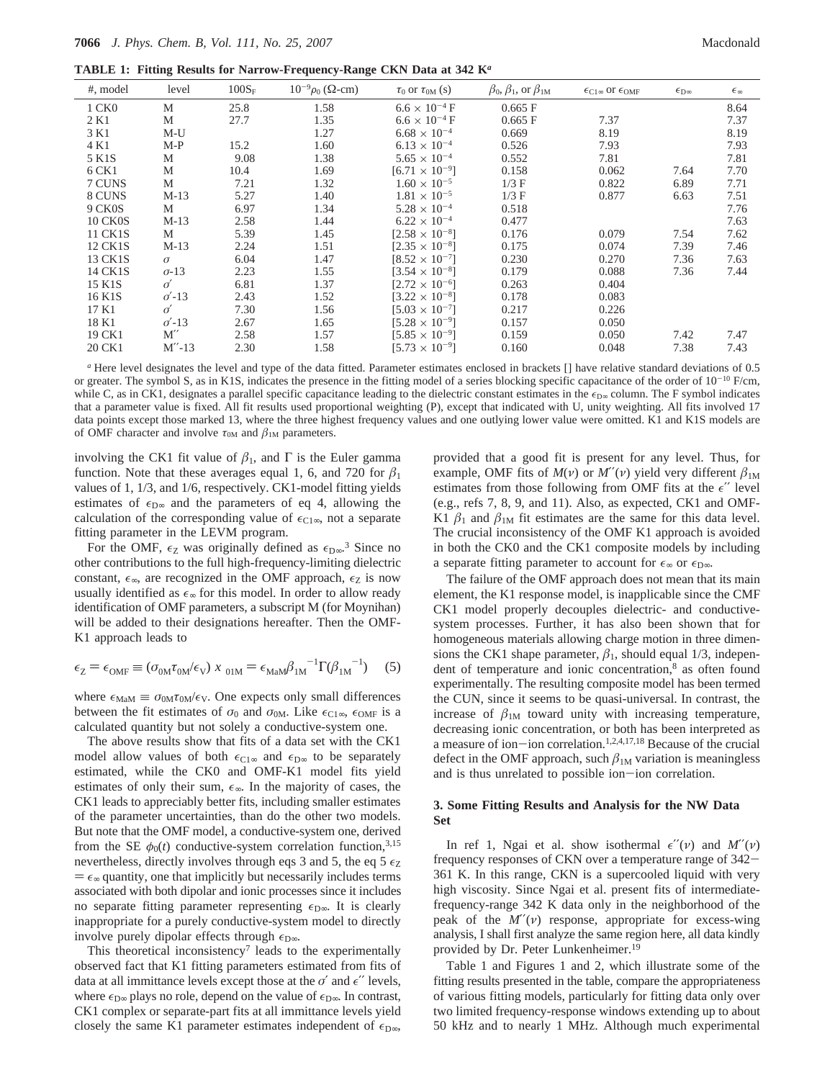**TABLE 1: Fitting Results for Narrow-Frequency-Range CKN Data at 342 K***<sup>a</sup>*

| #, model       | level        | $100S_F$ | $10^{-9}\rho_0$ ( $\Omega$ -cm) | $\tau_0$ or $\tau_{0M}$ (s) | $\beta_0$ , $\beta_1$ , or $\beta_{1M}$ | $\epsilon_{\text{C1}}$ or $\epsilon_{\text{OMF}}$ | $\epsilon_{\rm D\infty}$ | $\epsilon_{\infty}$ |
|----------------|--------------|----------|---------------------------------|-----------------------------|-----------------------------------------|---------------------------------------------------|--------------------------|---------------------|
| 1 CK0          | M            | 25.8     | 1.58                            | $6.6 \times 10^{-4}$ F      | 0.665 F                                 |                                                   |                          | 8.64                |
| 2 K1           | М            | 27.7     | 1.35                            | $6.6 \times 10^{-4}$ F      | 0.665 F                                 | 7.37                                              |                          | 7.37                |
| 3 K1           | $M-U$        |          | 1.27                            | $6.68 \times 10^{-4}$       | 0.669                                   | 8.19                                              |                          | 8.19                |
| 4 K1           | $M-P$        | 15.2     | 1.60                            | $6.13 \times 10^{-4}$       | 0.526                                   | 7.93                                              |                          | 7.93                |
| 5 K1S          | М            | 9.08     | 1.38                            | $5.65 \times 10^{-4}$       | 0.552                                   | 7.81                                              |                          | 7.81                |
| 6 CK1          | М            | 10.4     | 1.69                            | $[6.71 \times 10^{-9}]$     | 0.158                                   | 0.062                                             | 7.64                     | 7.70                |
| 7 CUNS         | M            | 7.21     | 1.32                            | $1.60 \times 10^{-5}$       | $1/3$ F                                 | 0.822                                             | 6.89                     | 7.71                |
| 8 CUNS         | $M-13$       | 5.27     | 1.40                            | $1.81 \times 10^{-5}$       | $1/3$ F                                 | 0.877                                             | 6.63                     | 7.51                |
| 9 CK0S         | М            | 6.97     | 1.34                            | $5.28 \times 10^{-4}$       | 0.518                                   |                                                   |                          | 7.76                |
| <b>10 CK0S</b> | $M-13$       | 2.58     | 1.44                            | $6.22 \times 10^{-4}$       | 0.477                                   |                                                   |                          | 7.63                |
| 11 CK1S        | М            | 5.39     | 1.45                            | $[2.58 \times 10^{-8}]$     | 0.176                                   | 0.079                                             | 7.54                     | 7.62                |
| 12 CK1S        | $M-13$       | 2.24     | 1.51                            | $[2.35 \times 10^{-8}]$     | 0.175                                   | 0.074                                             | 7.39                     | 7.46                |
| 13 CK1S        | $\sigma$     | 6.04     | 1.47                            | $[8.52 \times 10^{-7}]$     | 0.230                                   | 0.270                                             | 7.36                     | 7.63                |
| 14 CK1S        | $\sigma$ -13 | 2.23     | 1.55                            | $[3.54 \times 10^{-8}]$     | 0.179                                   | 0.088                                             | 7.36                     | 7.44                |
| 15 K1S         | $\sigma'$    | 6.81     | 1.37                            | $[2.72 \times 10^{-6}]$     | 0.263                                   | 0.404                                             |                          |                     |
| 16 K1S         | $\sigma$ -13 | 2.43     | 1.52                            | $[3.22 \times 10^{-8}]$     | 0.178                                   | 0.083                                             |                          |                     |
| 17 K1          | $\sigma'$    | 7.30     | 1.56                            | $[5.03 \times 10^{-7}]$     | 0.217                                   | 0.226                                             |                          |                     |
| 18 K1          | $\sigma$ -13 | 2.67     | 1.65                            | $[5.28 \times 10^{-9}]$     | 0.157                                   | 0.050                                             |                          |                     |
| 19 CK1         | M''          | 2.58     | 1.57                            | $[5.85 \times 10^{-9}]$     | 0.159                                   | 0.050                                             | 7.42                     | 7.47                |
| 20 CK1         | $M''-13$     | 2.30     | 1.58                            | $[5.73 \times 10^{-9}]$     | 0.160                                   | 0.048                                             | 7.38                     | 7.43                |

*<sup>a</sup>* Here level designates the level and type of the data fitted. Parameter estimates enclosed in brackets [] have relative standard deviations of 0.5 or greater. The symbol S, as in K1S, indicates the presence in the fitting model of a series blocking specific capacitance of the order of  $10^{-10}$  F/cm, while C, as in CK1, designates a parallel specific capacitance leading to the dielectric constant estimates in the  $\epsilon_{\text{D}\infty}$  column. The F symbol indicates that a parameter value is fixed. All fit results used proportional weighting (P), except that indicated with U, unity weighting. All fits involved 17 data points except those marked 13, where the three highest frequency values and one outlying lower value were omitted. K1 and K1S models are of OMF character and involve  $\tau_{0M}$  and  $\beta_{1M}$  parameters.

involving the CK1 fit value of  $\beta_1$ , and  $\Gamma$  is the Euler gamma function. Note that these averages equal 1, 6, and 720 for  $\beta_1$ values of 1, 1/3, and 1/6, respectively. CK1-model fitting yields estimates of  $\epsilon_{D\infty}$  and the parameters of eq 4, allowing the calculation of the corresponding value of  $\epsilon_{C1\infty}$ , not a separate fitting parameter in the LEVM program.

For the OMF,  $\epsilon_Z$  was originally defined as  $\epsilon_{D\infty}$ <sup>3</sup> Since no other contributions to the full high-frequency-limiting dielectric constant,  $\epsilon_{\infty}$ , are recognized in the OMF approach,  $\epsilon_{\text{Z}}$  is now usually identified as  $\epsilon_{\infty}$  for this model. In order to allow ready identification of OMF parameters, a subscript M (for Moynihan) will be added to their designations hereafter. Then the OMF-K1 approach leads to

$$
\epsilon_Z = \epsilon_{\text{OMF}} \equiv (\sigma_{0M} \tau_{0M} / \epsilon_V) \langle x \rangle_{01M} = \epsilon_{\text{MaM}} \beta_{1M}^{-1} \Gamma (\beta_{1M}^{-1}) \tag{5}
$$

where  $\epsilon_{\text{MaM}} \equiv \sigma_{0M} \tau_{0M} / \epsilon_{\text{V}}$ . One expects only small differences between the fit estimates of  $\sigma_0$  and  $\sigma_{0M}$ . Like  $\epsilon_{C1\infty}$ ,  $\epsilon_{0MF}$  is a calculated quantity but not solely a conductive-system one.

The above results show that fits of a data set with the CK1 model allow values of both  $\epsilon_{C1}$ <sup>∞</sup> and  $\epsilon_{D}$ ∞ to be separately estimated, while the CK0 and OMF-K1 model fits yield estimates of only their sum,  $\epsilon_{\infty}$ . In the majority of cases, the CK1 leads to appreciably better fits, including smaller estimates of the parameter uncertainties, than do the other two models. But note that the OMF model, a conductive-system one, derived from the SE  $\phi_0(t)$  conductive-system correlation function,<sup>3,15</sup> nevertheless, directly involves through eqs 3 and 5, the eq 5  $\epsilon_Z$  $= \epsilon_{\infty}$  quantity, one that implicitly but necessarily includes terms associated with both dipolar and ionic processes since it includes no separate fitting parameter representing  $\epsilon_{D\infty}$ . It is clearly inappropriate for a purely conductive-system model to directly involve purely dipolar effects through  $\epsilon_{D\infty}$ .

This theoretical inconsistency<sup>7</sup> leads to the experimentally observed fact that K1 fitting parameters estimated from fits of data at all immittance levels except those at the  $\sigma'$  and  $\epsilon''$  levels, where  $\epsilon_{D∞}$  plays no role, depend on the value of  $\epsilon_{D∞}$ . In contrast, CK1 complex or separate-part fits at all immittance levels yield closely the same K1 parameter estimates independent of  $\epsilon_{D\infty}$ , provided that a good fit is present for any level. Thus, for example, OMF fits of  $M(v)$  or  $M''(v)$  yield very different  $\beta_{1M}$ estimates from those following from OMF fits at the  $\epsilon''$  level (e.g., refs 7, 8, 9, and 11). Also, as expected, CK1 and OMF-K1  $\beta_1$  and  $\beta_{1M}$  fit estimates are the same for this data level. The crucial inconsistency of the OMF K1 approach is avoided in both the CK0 and the CK1 composite models by including a separate fitting parameter to account for  $\epsilon_{\infty}$  or  $\epsilon_{D^{\infty}}$ .

The failure of the OMF approach does not mean that its main element, the K1 response model, is inapplicable since the CMF CK1 model properly decouples dielectric- and conductivesystem processes. Further, it has also been shown that for homogeneous materials allowing charge motion in three dimensions the CK1 shape parameter,  $\beta_1$ , should equal 1/3, independent of temperature and ionic concentration, $8$  as often found experimentally. The resulting composite model has been termed the CUN, since it seems to be quasi-universal. In contrast, the increase of  $\beta_{1M}$  toward unity with increasing temperature, decreasing ionic concentration, or both has been interpreted as a measure of ion-ion correlation.1,2,4,17,18 Because of the crucial defect in the OMF approach, such  $\beta_{1M}$  variation is meaningless and is thus unrelated to possible ion-ion correlation.

## **3. Some Fitting Results and Analysis for the NW Data Set**

In ref 1, Ngai et al. show isothermal  $\epsilon''(v)$  and  $M''(v)$ frequency responses of CKN over a temperature range of 342- 361 K. In this range, CKN is a supercooled liquid with very high viscosity. Since Ngai et al. present fits of intermediatefrequency-range 342 K data only in the neighborhood of the peak of the *M*′′(*ν*) response, appropriate for excess-wing analysis, I shall first analyze the same region here, all data kindly provided by Dr. Peter Lunkenheimer.19

Table 1 and Figures 1 and 2, which illustrate some of the fitting results presented in the table, compare the appropriateness of various fitting models, particularly for fitting data only over two limited frequency-response windows extending up to about 50 kHz and to nearly 1 MHz. Although much experimental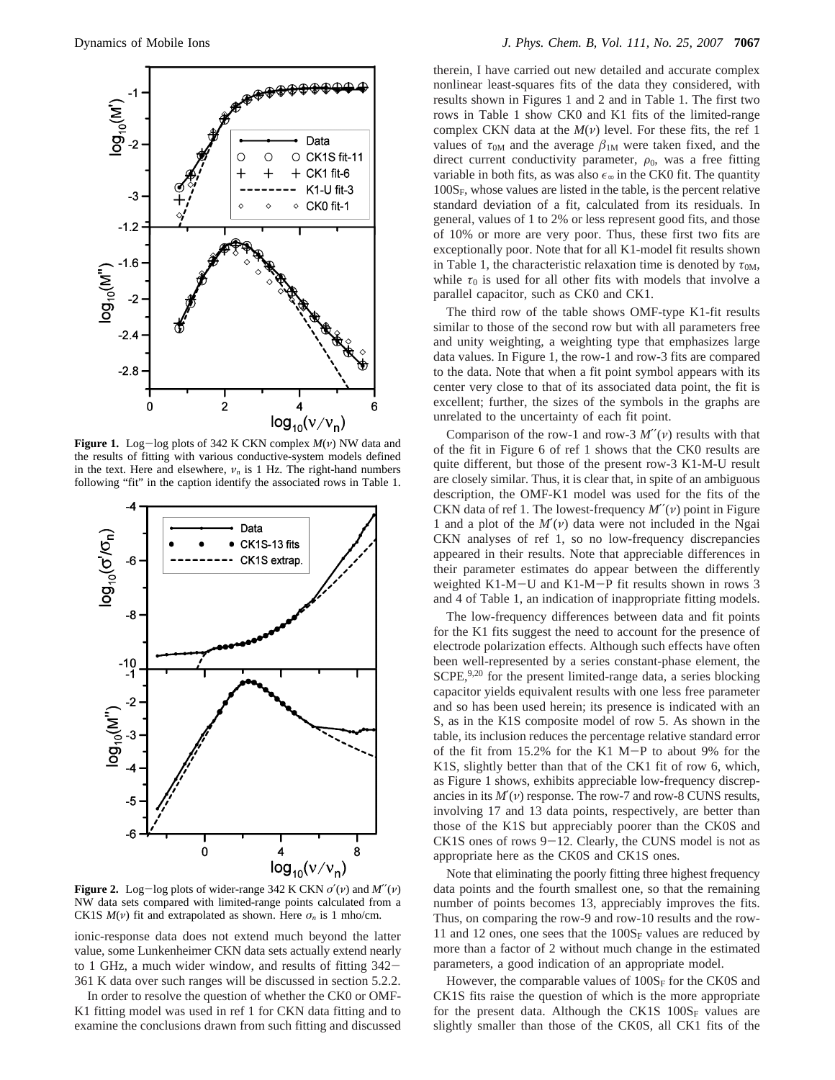

**Figure 1.** Log-log plots of 342 K CKN complex *<sup>M</sup>*(*ν*) NW data and the results of fitting with various conductive-system models defined in the text. Here and elsewhere,  $v_n$  is 1 Hz. The right-hand numbers following "fit" in the caption identify the associated rows in Table 1.



**Figure 2.** Log-log plots of wider-range 342 K CKN  $\sigma'(\nu)$  and  $M''(\nu)$ NW data sets compared with limited-range points calculated from a CK1S  $M(v)$  fit and extrapolated as shown. Here  $\sigma_n$  is 1 mho/cm.

ionic-response data does not extend much beyond the latter value, some Lunkenheimer CKN data sets actually extend nearly to 1 GHz, a much wider window, and results of fitting 342- 361 K data over such ranges will be discussed in section 5.2.2.

In order to resolve the question of whether the CK0 or OMF-K1 fitting model was used in ref 1 for CKN data fitting and to examine the conclusions drawn from such fitting and discussed

therein, I have carried out new detailed and accurate complex nonlinear least-squares fits of the data they considered, with results shown in Figures 1 and 2 and in Table 1. The first two rows in Table 1 show CK0 and K1 fits of the limited-range complex CKN data at the  $M(\nu)$  level. For these fits, the ref 1 values of  $\tau_{0M}$  and the average  $\beta_{1M}$  were taken fixed, and the direct current conductivity parameter,  $\rho_0$ , was a free fitting variable in both fits, as was also  $\epsilon_{\infty}$  in the CK0 fit. The quantity  $100S_F$ , whose values are listed in the table, is the percent relative standard deviation of a fit, calculated from its residuals. In general, values of 1 to 2% or less represent good fits, and those of 10% or more are very poor. Thus, these first two fits are exceptionally poor. Note that for all K1-model fit results shown in Table 1, the characteristic relaxation time is denoted by  $\tau_{0M}$ , while  $\tau_0$  is used for all other fits with models that involve a parallel capacitor, such as CK0 and CK1.

The third row of the table shows OMF-type K1-fit results similar to those of the second row but with all parameters free and unity weighting, a weighting type that emphasizes large data values. In Figure 1, the row-1 and row-3 fits are compared to the data. Note that when a fit point symbol appears with its center very close to that of its associated data point, the fit is excellent; further, the sizes of the symbols in the graphs are unrelated to the uncertainty of each fit point.

Comparison of the row-1 and row-3  $M''(\nu)$  results with that of the fit in Figure 6 of ref 1 shows that the CK0 results are quite different, but those of the present row-3 K1-M-U result are closely similar. Thus, it is clear that, in spite of an ambiguous description, the OMF-K1 model was used for the fits of the CKN data of ref 1. The lowest-frequency *M*′′(*ν*) point in Figure 1 and a plot of the *M*′(*ν*) data were not included in the Ngai CKN analyses of ref 1, so no low-frequency discrepancies appeared in their results. Note that appreciable differences in their parameter estimates do appear between the differently weighted K1-M-U and K1-M-P fit results shown in rows 3 and 4 of Table 1, an indication of inappropriate fitting models.

The low-frequency differences between data and fit points for the K1 fits suggest the need to account for the presence of electrode polarization effects. Although such effects have often been well-represented by a series constant-phase element, the  $SCPE<sub>1</sub><sup>9,20</sup>$  for the present limited-range data, a series blocking capacitor yields equivalent results with one less free parameter and so has been used herein; its presence is indicated with an S, as in the K1S composite model of row 5. As shown in the table, its inclusion reduces the percentage relative standard error of the fit from 15.2% for the K1 M-P to about 9% for the K1S, slightly better than that of the CK1 fit of row 6, which, as Figure 1 shows, exhibits appreciable low-frequency discrepancies in its  $M'(v)$  response. The row-7 and row-8 CUNS results, involving 17 and 13 data points, respectively, are better than those of the K1S but appreciably poorer than the CK0S and  $CK1S$  ones of rows  $9-12$ . Clearly, the CUNS model is not as appropriate here as the CK0S and CK1S ones.

Note that eliminating the poorly fitting three highest frequency data points and the fourth smallest one, so that the remaining number of points becomes 13, appreciably improves the fits. Thus, on comparing the row-9 and row-10 results and the row-11 and 12 ones, one sees that the  $100S_F$  values are reduced by more than a factor of 2 without much change in the estimated parameters, a good indication of an appropriate model.

However, the comparable values of  $100S_F$  for the CK0S and CK1S fits raise the question of which is the more appropriate for the present data. Although the CK1S  $100S_F$  values are slightly smaller than those of the CK0S, all CK1 fits of the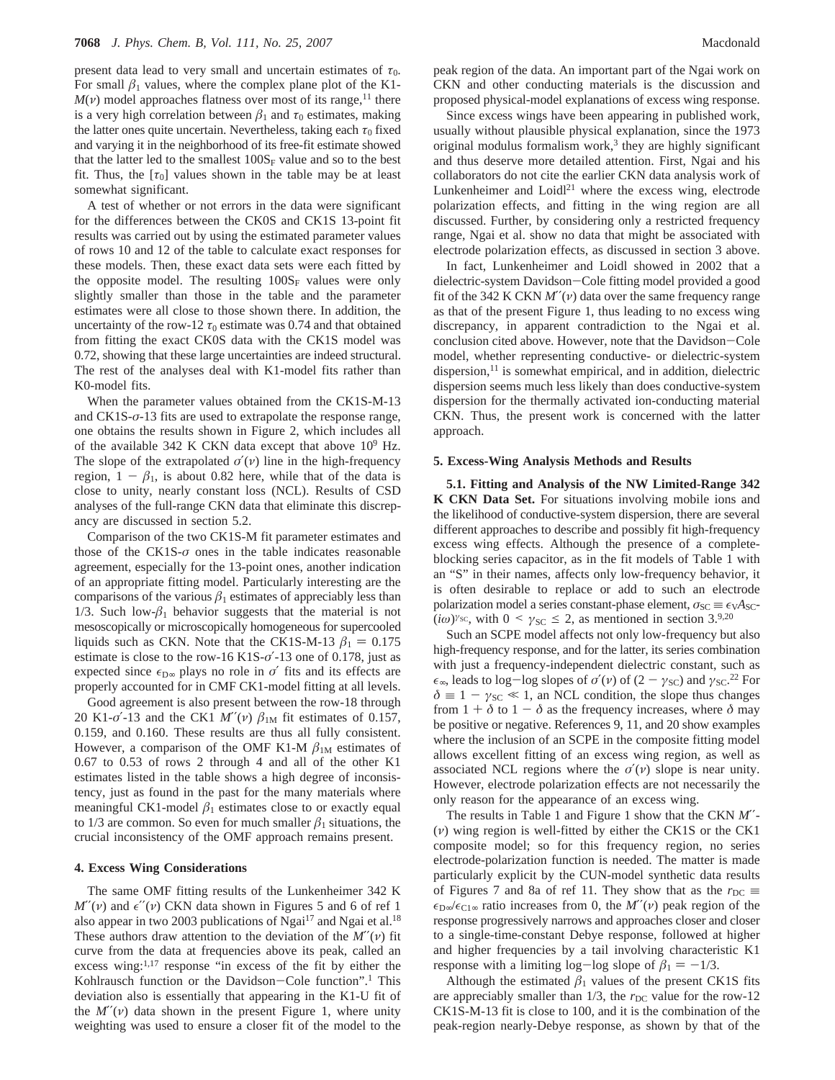present data lead to very small and uncertain estimates of  $\tau_0$ . For small  $\beta_1$  values, where the complex plane plot of the K1- $M(\nu)$  model approaches flatness over most of its range,<sup>11</sup> there is a very high correlation between  $\beta_1$  and  $\tau_0$  estimates, making the latter ones quite uncertain. Nevertheless, taking each  $\tau_0$  fixed and varying it in the neighborhood of its free-fit estimate showed that the latter led to the smallest  $100S_F$  value and so to the best fit. Thus, the  $[\tau_0]$  values shown in the table may be at least somewhat significant.

A test of whether or not errors in the data were significant for the differences between the CK0S and CK1S 13-point fit results was carried out by using the estimated parameter values of rows 10 and 12 of the table to calculate exact responses for these models. Then, these exact data sets were each fitted by the opposite model. The resulting  $100S_F$  values were only slightly smaller than those in the table and the parameter estimates were all close to those shown there. In addition, the uncertainty of the row-12  $\tau_0$  estimate was 0.74 and that obtained from fitting the exact CK0S data with the CK1S model was 0.72, showing that these large uncertainties are indeed structural. The rest of the analyses deal with K1-model fits rather than K0-model fits.

When the parameter values obtained from the CK1S-M-13 and CK1S-*σ*-13 fits are used to extrapolate the response range, one obtains the results shown in Figure 2, which includes all of the available 342 K CKN data except that above  $10^9$  Hz. The slope of the extrapolated  $\sigma'(\nu)$  line in the high-frequency region,  $1 - \beta_1$ , is about 0.82 here, while that of the data is close to unity, nearly constant loss (NCL). Results of CSD analyses of the full-range CKN data that eliminate this discrepancy are discussed in section 5.2.

Comparison of the two CK1S-M fit parameter estimates and those of the  $CK1S-\sigma$  ones in the table indicates reasonable agreement, especially for the 13-point ones, another indication of an appropriate fitting model. Particularly interesting are the comparisons of the various  $\beta_1$  estimates of appreciably less than 1/3. Such low- $\beta_1$  behavior suggests that the material is not mesoscopically or microscopically homogeneous for supercooled liquids such as CKN. Note that the CK1S-M-13  $\beta_1 = 0.175$ estimate is close to the row-16 K1S-*σ*′-13 one of 0.178, just as expected since  $\epsilon_{D\infty}$  plays no role in *σ*<sup>'</sup> fits and its effects are properly accounted for in CMF CK1-model fitting at all levels.

Good agreement is also present between the row-18 through 20 K1- $\sigma$ <sup>2</sup>-13 and the CK1  $M''(v)$   $\beta_{1M}$  fit estimates of 0.157, 0.159, and 0.160. These results are thus all fully consistent. However, a comparison of the OMF K1-M  $\beta_{1M}$  estimates of 0.67 to 0.53 of rows 2 through 4 and all of the other K1 estimates listed in the table shows a high degree of inconsistency, just as found in the past for the many materials where meaningful CK1-model  $\beta_1$  estimates close to or exactly equal to 1/3 are common. So even for much smaller  $\beta_1$  situations, the crucial inconsistency of the OMF approach remains present.

## **4. Excess Wing Considerations**

The same OMF fitting results of the Lunkenheimer 342 K  $M''(\nu)$  and  $\epsilon''(\nu)$  CKN data shown in Figures 5 and 6 of ref 1 also appear in two 2003 publications of Ngai $17$  and Ngai et al.<sup>18</sup> These authors draw attention to the deviation of the *M*′′(*ν*) fit curve from the data at frequencies above its peak, called an excess wing:<sup>1,17</sup> response "in excess of the fit by either the Kohlrausch function or the Davidson-Cole function".1 This deviation also is essentially that appearing in the K1-U fit of the  $M''(v)$  data shown in the present Figure 1, where unity weighting was used to ensure a closer fit of the model to the

peak region of the data. An important part of the Ngai work on CKN and other conducting materials is the discussion and proposed physical-model explanations of excess wing response.

Since excess wings have been appearing in published work, usually without plausible physical explanation, since the 1973 original modulus formalism work, $3$  they are highly significant and thus deserve more detailed attention. First, Ngai and his collaborators do not cite the earlier CKN data analysis work of Lunkenheimer and  $Loidl<sup>21</sup>$  where the excess wing, electrode polarization effects, and fitting in the wing region are all discussed. Further, by considering only a restricted frequency range, Ngai et al. show no data that might be associated with electrode polarization effects, as discussed in section 3 above.

In fact, Lunkenheimer and Loidl showed in 2002 that a dielectric-system Davidson-Cole fitting model provided a good fit of the 342 K CKN *M*′′(*ν*) data over the same frequency range as that of the present Figure 1, thus leading to no excess wing discrepancy, in apparent contradiction to the Ngai et al. conclusion cited above. However, note that the Davidson-Cole model, whether representing conductive- or dielectric-system dispersion, $^{11}$  is somewhat empirical, and in addition, dielectric dispersion seems much less likely than does conductive-system dispersion for the thermally activated ion-conducting material CKN. Thus, the present work is concerned with the latter approach.

#### **5. Excess-Wing Analysis Methods and Results**

**5.1. Fitting and Analysis of the NW Limited-Range 342 K CKN Data Set.** For situations involving mobile ions and the likelihood of conductive-system dispersion, there are several different approaches to describe and possibly fit high-frequency excess wing effects. Although the presence of a completeblocking series capacitor, as in the fit models of Table 1 with an "S" in their names, affects only low-frequency behavior, it is often desirable to replace or add to such an electrode polarization model a series constant-phase element,  $\sigma_{SC} \equiv \epsilon_V A_{SC}$ - $(i\omega)$ <sup>*γ*sc</sup>, with 0 < *γ*<sub>SC</sub> ≤ 2, as mentioned in section 3.9,20

Such an SCPE model affects not only low-frequency but also high-frequency response, and for the latter, its series combination with just a frequency-independent dielectric constant, such as  $\epsilon_{\infty}$ , leads to log-log slopes of  $\sigma'(v)$  of  $(2 - \gamma_{SC})$  and  $\gamma_{SC}$ .<sup>22</sup> For  $\delta = 1 - \gamma_{SC} \ll 1$  an NCL condition, the slope thus changes  $\delta \equiv 1 - \gamma_{SC} \ll 1$ , an NCL condition, the slope thus changes from  $1 + \delta$  to  $1 - \delta$  as the frequency increases, where  $\delta$  may be positive or negative. References 9, 11, and 20 show examples where the inclusion of an SCPE in the composite fitting model allows excellent fitting of an excess wing region, as well as associated NCL regions where the  $\sigma'(\nu)$  slope is near unity. However, electrode polarization effects are not necessarily the only reason for the appearance of an excess wing.

The results in Table 1 and Figure 1 show that the CKN *M*′′- (*ν*) wing region is well-fitted by either the CK1S or the CK1 composite model; so for this frequency region, no series electrode-polarization function is needed. The matter is made particularly explicit by the CUN-model synthetic data results of Figures 7 and 8a of ref 11. They show that as the  $r_{DC} \equiv$  $\epsilon_{D∞}/\epsilon_{C1∞}$  ratio increases from 0, the *M''*(*v*) peak region of the response progressively narrows and approaches closer and closer to a single-time-constant Debye response, followed at higher and higher frequencies by a tail involving characteristic K1 response with a limiting log-log slope of  $\beta_1 = -1/3$ .

Although the estimated  $\beta_1$  values of the present CK1S fits are appreciably smaller than  $1/3$ , the  $r<sub>DC</sub>$  value for the row-12 CK1S-M-13 fit is close to 100, and it is the combination of the peak-region nearly-Debye response, as shown by that of the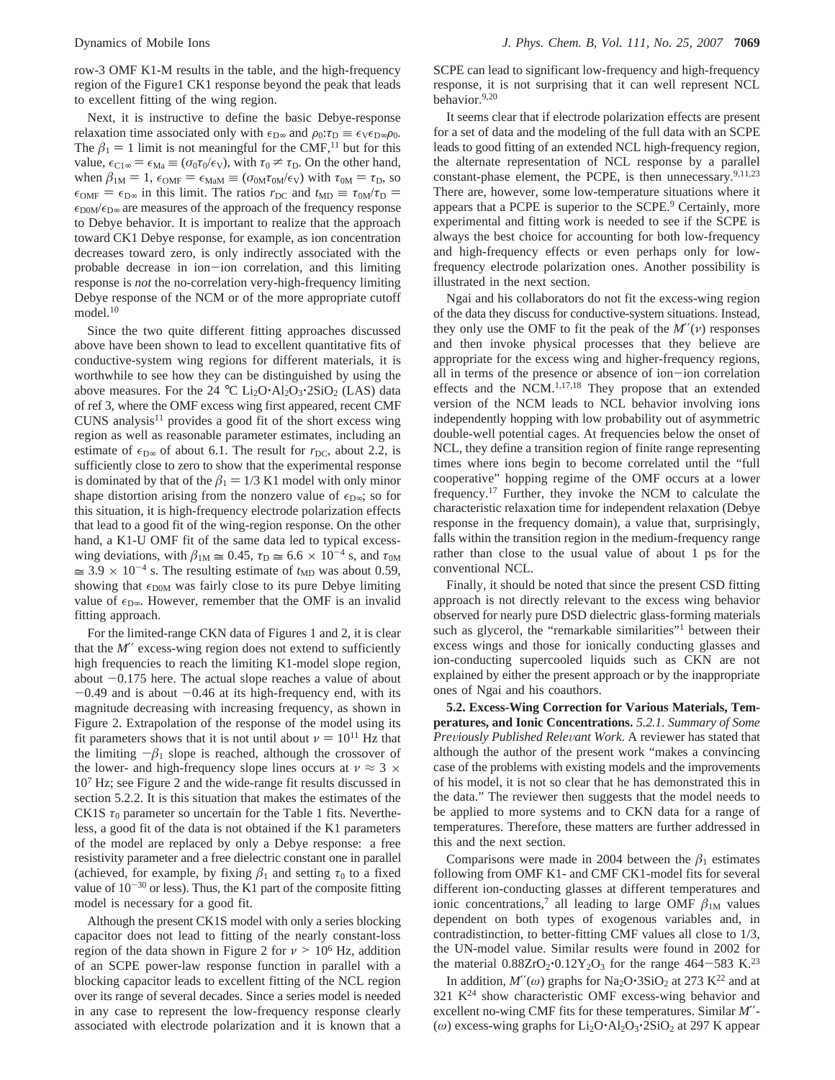row-3 OMF K1-M results in the table, and the high-frequency region of the Figure1 CK1 response beyond the peak that leads to excellent fitting of the wing region.

Next, it is instructive to define the basic Debye-response relaxation time associated only with  $\epsilon_{D\infty}$  and  $\rho_0: \tau_D \equiv \epsilon_V \epsilon_{D\infty} \rho_0$ . The  $\beta_1 = 1$  limit is not meaningful for the CMF,<sup>11</sup> but for this value,  $\epsilon_{\text{Cl}\infty} = \epsilon_{\text{Ma}} \equiv (\sigma_0 \tau_0/\epsilon_{\text{V}})$ , with  $\tau_0 \neq \tau_{\text{D}}$ . On the other hand, when  $\beta_{1M} = 1$ ,  $\epsilon_{0MF} = \epsilon_{MaM} \equiv (\sigma_{0M}\tau_{0M}/\epsilon_{V})$  with  $\tau_{0M} = \tau_{D}$ , so  $\epsilon_{\text{OMF}} = \epsilon_{\text{D}\infty}$  in this limit. The ratios  $r_{\text{DC}}$  and  $t_{\text{MD}} \equiv \tau_{\text{OM}}/\tau_{\text{D}} =$  $\epsilon_{\text{DOM}}/\epsilon_{\text{D}\infty}$  are measures of the approach of the frequency response to Debye behavior. It is important to realize that the approach toward CK1 Debye response, for example, as ion concentration decreases toward zero, is only indirectly associated with the probable decrease in ion-ion correlation, and this limiting response is *not* the no-correlation very-high-frequency limiting Debye response of the NCM or of the more appropriate cutoff model.<sup>10</sup>

Since the two quite different fitting approaches discussed above have been shown to lead to excellent quantitative fits of conductive-system wing regions for different materials, it is worthwhile to see how they can be distinguished by using the above measures. For the 24 °C  $Li_2O \cdot Al_2O_3 \cdot 2SiO_2$  (LAS) data of ref 3, where the OMF excess wing first appeared, recent CMF  $CUNS$  analysis<sup>11</sup> provides a good fit of the short excess wing region as well as reasonable parameter estimates, including an estimate of  $\epsilon_{D\infty}$  of about 6.1. The result for  $r_{DC}$ , about 2.2, is sufficiently close to zero to show that the experimental response is dominated by that of the  $\beta_1 = 1/3$  K1 model with only minor shape distortion arising from the nonzero value of  $\epsilon_{D\infty}$ ; so for this situation, it is high-frequency electrode polarization effects that lead to a good fit of the wing-region response. On the other hand, a K1-U OMF fit of the same data led to typical excesswing deviations, with  $\beta_{1M} \approx 0.45$ ,  $\tau_D \approx 6.6 \times 10^{-4}$  s, and  $\tau_{0M}$  $\approx 3.9 \times 10^{-4}$  s. The resulting estimate of  $t_{MD}$  was about 0.59, showing that  $\epsilon_{\text{DOM}}$  was fairly close to its pure Debye limiting value of  $\epsilon_{D\infty}$ . However, remember that the OMF is an invalid fitting approach.

For the limited-range CKN data of Figures 1 and 2, it is clear that the *M*′′ excess-wing region does not extend to sufficiently high frequencies to reach the limiting K1-model slope region, about  $-0.175$  here. The actual slope reaches a value of about  $-0.49$  and is about  $-0.46$  at its high-frequency end, with its magnitude decreasing with increasing frequency, as shown in Figure 2. Extrapolation of the response of the model using its fit parameters shows that it is not until about  $\nu = 10^{11}$  Hz that the limiting  $-\beta_1$  slope is reached, although the crossover of the lower- and high-frequency slope lines occurs at  $v \approx 3 \times$ 107 Hz; see Figure 2 and the wide-range fit results discussed in section 5.2.2. It is this situation that makes the estimates of the CK1S  $\tau_0$  parameter so uncertain for the Table 1 fits. Nevertheless, a good fit of the data is not obtained if the K1 parameters of the model are replaced by only a Debye response: a free resistivity parameter and a free dielectric constant one in parallel (achieved, for example, by fixing  $\beta_1$  and setting  $\tau_0$  to a fixed value of  $10^{-30}$  or less). Thus, the K1 part of the composite fitting model is necessary for a good fit.

Although the present CK1S model with only a series blocking capacitor does not lead to fitting of the nearly constant-loss region of the data shown in Figure 2 for  $\nu > 10^6$  Hz, addition of an SCPE power-law response function in parallel with a blocking capacitor leads to excellent fitting of the NCL region over its range of several decades. Since a series model is needed in any case to represent the low-frequency response clearly associated with electrode polarization and it is known that a

SCPE can lead to significant low-frequency and high-frequency response, it is not surprising that it can well represent NCL behavior.9,20

It seems clear that if electrode polarization effects are present for a set of data and the modeling of the full data with an SCPE leads to good fitting of an extended NCL high-frequency region, the alternate representation of NCL response by a parallel constant-phase element, the PCPE, is then unnecessary.<sup>9,11,23</sup> There are, however, some low-temperature situations where it appears that a PCPE is superior to the SCPE.<sup>9</sup> Certainly, more experimental and fitting work is needed to see if the SCPE is always the best choice for accounting for both low-frequency and high-frequency effects or even perhaps only for lowfrequency electrode polarization ones. Another possibility is illustrated in the next section.

Ngai and his collaborators do not fit the excess-wing region of the data they discuss for conductive-system situations. Instead, they only use the OMF to fit the peak of the *M*′′(*ν*) responses and then invoke physical processes that they believe are appropriate for the excess wing and higher-frequency regions, all in terms of the presence or absence of ion-ion correlation effects and the NCM.1,17,18 They propose that an extended version of the NCM leads to NCL behavior involving ions independently hopping with low probability out of asymmetric double-well potential cages. At frequencies below the onset of NCL, they define a transition region of finite range representing times where ions begin to become correlated until the "full cooperative" hopping regime of the OMF occurs at a lower frequency.17 Further, they invoke the NCM to calculate the characteristic relaxation time for independent relaxation (Debye response in the frequency domain), a value that, surprisingly, falls within the transition region in the medium-frequency range rather than close to the usual value of about 1 ps for the conventional NCL.

Finally, it should be noted that since the present CSD fitting approach is not directly relevant to the excess wing behavior observed for nearly pure DSD dielectric glass-forming materials such as glycerol, the "remarkable similarities"<sup>1</sup> between their excess wings and those for ionically conducting glasses and ion-conducting supercooled liquids such as CKN are not explained by either the present approach or by the inappropriate ones of Ngai and his coauthors.

**5.2. Excess-Wing Correction for Various Materials, Temperatures, and Ionic Concentrations.** *5.2.1. Summary of Some Previously Published Relevant Work. A reviewer has stated that* although the author of the present work "makes a convincing case of the problems with existing models and the improvements of his model, it is not so clear that he has demonstrated this in the data." The reviewer then suggests that the model needs to be applied to more systems and to CKN data for a range of temperatures. Therefore, these matters are further addressed in this and the next section.

Comparisons were made in 2004 between the  $\beta_1$  estimates following from OMF K1- and CMF CK1-model fits for several different ion-conducting glasses at different temperatures and ionic concentrations,<sup>7</sup> all leading to large OMF  $\beta_{1M}$  values dependent on both types of exogenous variables and, in contradistinction, to better-fitting CMF values all close to 1/3, the UN-model value. Similar results were found in 2002 for the material  $0.88ZrO_2 \cdot 0.12Y_2O_3$  for the range 464-583 K.<sup>23</sup>

In addition,  $M''(\omega)$  graphs for Na<sub>2</sub>O·3SiO<sub>2</sub> at 273 K<sup>22</sup> and at 321  $K^{24}$  show characteristic OMF excess-wing behavior and excellent no-wing CMF fits for these temperatures. Similar *M*′′- (*ω*) excess-wing graphs for  $Li<sub>2</sub>O·Al<sub>2</sub>O<sub>3</sub>·2SiO<sub>2</sub>$  at 297 K appear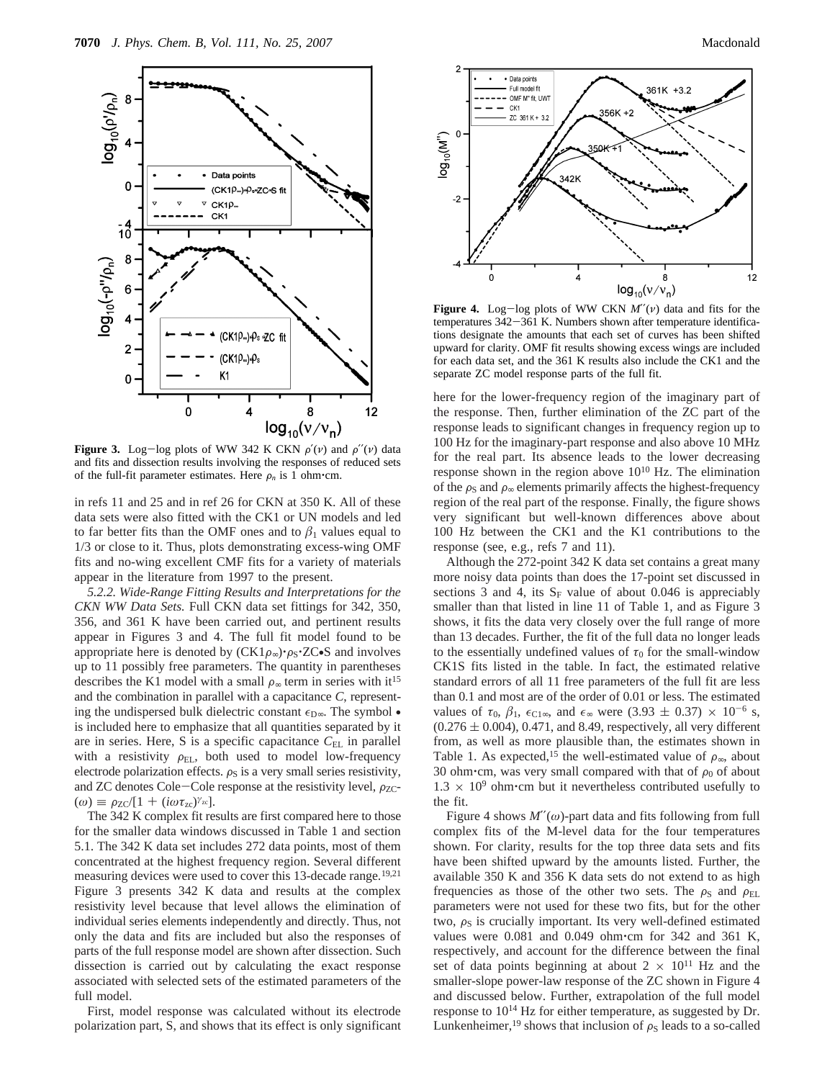

**Figure 3.** Log-log plots of WW 342 K CKN  $\rho'(\nu)$  and  $\rho''(\nu)$  data and fits and dissection results involving the responses of reduced sets of the full-fit parameter estimates. Here  $\rho_n$  is 1 ohm $\cdot$ cm.

in refs 11 and 25 and in ref 26 for CKN at 350 K. All of these data sets were also fitted with the CK1 or UN models and led to far better fits than the OMF ones and to  $\beta_1$  values equal to 1/3 or close to it. Thus, plots demonstrating excess-wing OMF fits and no-wing excellent CMF fits for a variety of materials appear in the literature from 1997 to the present.

*5.2.2. Wide-Range Fitting Results and Interpretations for the CKN WW Data Sets.* Full CKN data set fittings for 342, 350, 356, and 361 K have been carried out, and pertinent results appear in Figures 3 and 4. The full fit model found to be appropriate here is denoted by  $(CK1\rho_{\infty})\cdot \rho_S\cdot ZC\cdot S$  and involves up to 11 possibly free parameters. The quantity in parentheses describes the K1 model with a small  $\rho_{\infty}$  term in series with it<sup>15</sup> and the combination in parallel with a capacitance *C*, representing the undispersed bulk dielectric constant  $\epsilon_{D\infty}$ . The symbol • is included here to emphasize that all quantities separated by it are in series. Here, S is a specific capacitance C<sub>EL</sub> in parallel with a resistivity  $\rho_{EL}$ , both used to model low-frequency electrode polarization effects.  $\rho_S$  is a very small series resistivity, and ZC denotes Cole-Cole response at the resistivity level,  $\rho_{ZC}$ - $(\omega) \equiv \rho_{ZC}/[1 + (i\omega \tau_{zc})^{\gamma_{zc}}].$ 

The 342 K complex fit results are first compared here to those for the smaller data windows discussed in Table 1 and section 5.1. The 342 K data set includes 272 data points, most of them concentrated at the highest frequency region. Several different measuring devices were used to cover this 13-decade range.<sup>19,21</sup> Figure 3 presents 342 K data and results at the complex resistivity level because that level allows the elimination of individual series elements independently and directly. Thus, not only the data and fits are included but also the responses of parts of the full response model are shown after dissection. Such dissection is carried out by calculating the exact response associated with selected sets of the estimated parameters of the full model.

First, model response was calculated without its electrode polarization part, S, and shows that its effect is only significant



8

 $log_{10}(v/v_{\rm n})$ 

**Figure 4.** Log-log plots of WW CKN *<sup>M</sup>*′′(*ν*) data and fits for the temperatures 342–361 K. Numbers shown after temperature identifica-<br>tions designate the amounts that each set of curves has been shifted tions designate the amounts that each set of curves has been shifted upward for clarity. OMF fit results showing excess wings are included for each data set, and the 361 K results also include the CK1 and the separate ZC model response parts of the full fit.

342K

4

 $\overline{2}$ 

 $\mathsf{C}$  $log_{10}(M")$ 

 $-2$ 

 $\mathbf 0$ 

here for the lower-frequency region of the imaginary part of the response. Then, further elimination of the ZC part of the response leads to significant changes in frequency region up to 100 Hz for the imaginary-part response and also above 10 MHz for the real part. Its absence leads to the lower decreasing response shown in the region above  $10^{10}$  Hz. The elimination of the  $\rho_s$  and  $\rho_{\infty}$  elements primarily affects the highest-frequency region of the real part of the response. Finally, the figure shows very significant but well-known differences above about 100 Hz between the CK1 and the K1 contributions to the response (see, e.g., refs 7 and 11).

Although the 272-point 342 K data set contains a great many more noisy data points than does the 17-point set discussed in sections 3 and 4, its  $S_F$  value of about 0.046 is appreciably smaller than that listed in line 11 of Table 1, and as Figure 3 shows, it fits the data very closely over the full range of more than 13 decades. Further, the fit of the full data no longer leads to the essentially undefined values of  $\tau_0$  for the small-window CK1S fits listed in the table. In fact, the estimated relative standard errors of all 11 free parameters of the full fit are less than 0.1 and most are of the order of 0.01 or less. The estimated values of  $\tau_0$ ,  $\beta_1$ ,  $\epsilon_{C1\infty}$ , and  $\epsilon_{\infty}$  were (3.93  $\pm$  0.37)  $\times$  10<sup>-6</sup> s,  $(0.276 \pm 0.004)$ , 0.471, and 8.49, respectively, all very different from, as well as more plausible than, the estimates shown in Table 1. As expected,<sup>15</sup> the well-estimated value of  $\rho_{\infty}$ , about 30 ohm·cm, was very small compared with that of  $\rho_0$  of about  $1.3 \times 10^9$  ohm cm but it nevertheless contributed usefully to the fit.

Figure 4 shows  $M''(\omega)$ -part data and fits following from full complex fits of the M-level data for the four temperatures shown. For clarity, results for the top three data sets and fits have been shifted upward by the amounts listed. Further, the available 350 K and 356 K data sets do not extend to as high frequencies as those of the other two sets. The  $\rho_S$  and  $\rho_{EL}$ parameters were not used for these two fits, but for the other two,  $\rho_S$  is crucially important. Its very well-defined estimated values were 0.081 and 0.049 ohm'cm for 342 and 361 K, respectively, and account for the difference between the final set of data points beginning at about  $2 \times 10^{11}$  Hz and the smaller-slope power-law response of the ZC shown in Figure 4 and discussed below. Further, extrapolation of the full model response to  $10^{14}$  Hz for either temperature, as suggested by Dr. Lunkenheimer,<sup>19</sup> shows that inclusion of  $\rho_s$  leads to a so-called

 $12$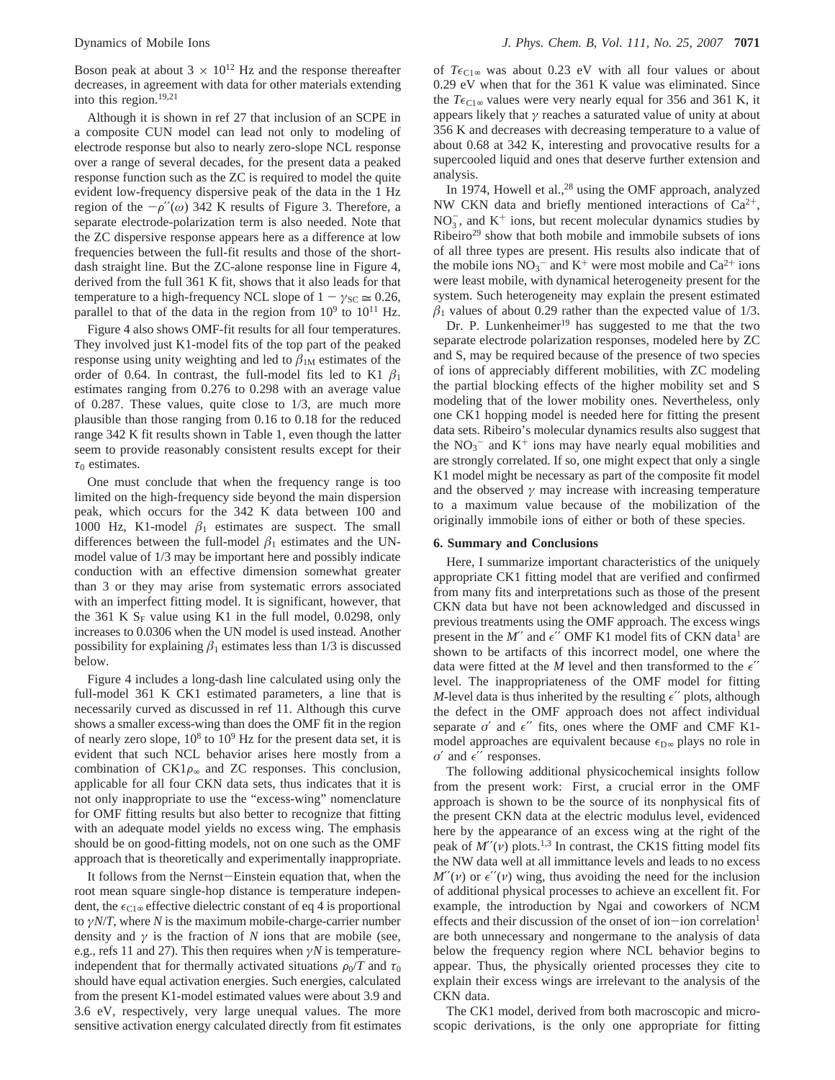Boson peak at about  $3 \times 10^{12}$  Hz and the response thereafter decreases, in agreement with data for other materials extending into this region.19,21

Although it is shown in ref 27 that inclusion of an SCPE in a composite CUN model can lead not only to modeling of electrode response but also to nearly zero-slope NCL response over a range of several decades, for the present data a peaked response function such as the ZC is required to model the quite evident low-frequency dispersive peak of the data in the 1 Hz region of the  $-\rho''(\omega)$  342 K results of Figure 3. Therefore, a separate electrode-polarization term is also needed. Note that the ZC dispersive response appears here as a difference at low frequencies between the full-fit results and those of the shortdash straight line. But the ZC-alone response line in Figure 4, derived from the full 361 K fit, shows that it also leads for that temperature to a high-frequency NCL slope of  $1 - \gamma_{SC} \approx 0.26$ , parallel to that of the data in the region from  $10^9$  to  $10^{11}$  Hz.

Figure 4 also shows OMF-fit results for all four temperatures. They involved just K1-model fits of the top part of the peaked response using unity weighting and led to  $\beta_{1M}$  estimates of the order of 0.64. In contrast, the full-model fits led to K1  $\beta_1$ estimates ranging from 0.276 to 0.298 with an average value of 0.287. These values, quite close to 1/3, are much more plausible than those ranging from 0.16 to 0.18 for the reduced range 342 K fit results shown in Table 1, even though the latter seem to provide reasonably consistent results except for their  $\tau_0$  estimates.

One must conclude that when the frequency range is too limited on the high-frequency side beyond the main dispersion peak, which occurs for the 342 K data between 100 and 1000 Hz, K1-model  $\beta_1$  estimates are suspect. The small differences between the full-model  $\beta_1$  estimates and the UNmodel value of 1/3 may be important here and possibly indicate conduction with an effective dimension somewhat greater than 3 or they may arise from systematic errors associated with an imperfect fitting model. It is significant, however, that the 361 K  $S_F$  value using K1 in the full model, 0.0298, only increases to 0.0306 when the UN model is used instead. Another possibility for explaining  $\beta_1$  estimates less than  $1/3$  is discussed below.

Figure 4 includes a long-dash line calculated using only the full-model 361 K CK1 estimated parameters, a line that is necessarily curved as discussed in ref 11. Although this curve shows a smaller excess-wing than does the OMF fit in the region of nearly zero slope,  $10^8$  to  $10^9$  Hz for the present data set, it is evident that such NCL behavior arises here mostly from a combination of  $CK1\rho_{\infty}$  and ZC responses. This conclusion, applicable for all four CKN data sets, thus indicates that it is not only inappropriate to use the "excess-wing" nomenclature for OMF fitting results but also better to recognize that fitting with an adequate model yields no excess wing. The emphasis should be on good-fitting models, not on one such as the OMF approach that is theoretically and experimentally inappropriate.

It follows from the Nernst-Einstein equation that, when the root mean square single-hop distance is temperature independent, the  $\epsilon_{\text{Cl}\infty}$  effective dielectric constant of eq 4 is proportional to *γN*/*T*, where *N* is the maximum mobile-charge-carrier number density and  $\gamma$  is the fraction of *N* ions that are mobile (see, e.g., refs 11 and 27). This then requires when *γN* is temperatureindependent that for thermally activated situations  $\rho_0/T$  and  $\tau_0$ should have equal activation energies. Such energies, calculated from the present K1-model estimated values were about 3.9 and 3.6 eV, respectively, very large unequal values. The more sensitive activation energy calculated directly from fit estimates

of  $T\epsilon_{\text{Cl}\infty}$  was about 0.23 eV with all four values or about 0.29 eV when that for the 361 K value was eliminated. Since the  $T\epsilon_{C1\infty}$  values were very nearly equal for 356 and 361 K, it appears likely that *γ* reaches a saturated value of unity at about 356 K and decreases with decreasing temperature to a value of about 0.68 at 342 K, interesting and provocative results for a supercooled liquid and ones that deserve further extension and analysis.

In 1974, Howell et al., $^{28}$  using the OMF approach, analyzed NW CKN data and briefly mentioned interactions of  $Ca^{2+}$ ,  $NO<sub>3</sub>$ , and  $K<sup>+</sup>$  ions, but recent molecular dynamics studies by Ribeiro<sup>29</sup> show that both mobile and immobile subsets of ions of all three types are present. His results also indicate that of the mobile ions  $NO_3^-$  and  $K^+$  were most mobile and  $Ca^{2+}$  ions were least mobile, with dynamical heterogeneity present for the system. Such heterogeneity may explain the present estimated  $\beta_1$  values of about 0.29 rather than the expected value of 1/3.

Dr. P. Lunkenheimer<sup>19</sup> has suggested to me that the two separate electrode polarization responses, modeled here by ZC and S, may be required because of the presence of two species of ions of appreciably different mobilities, with ZC modeling the partial blocking effects of the higher mobility set and S modeling that of the lower mobility ones. Nevertheless, only one CK1 hopping model is needed here for fitting the present data sets. Ribeiro's molecular dynamics results also suggest that the  $NO_3^-$  and  $K^+$  ions may have nearly equal mobilities and are strongly correlated. If so, one might expect that only a single K1 model might be necessary as part of the composite fit model and the observed  $\gamma$  may increase with increasing temperature to a maximum value because of the mobilization of the originally immobile ions of either or both of these species.

#### **6. Summary and Conclusions**

Here, I summarize important characteristics of the uniquely appropriate CK1 fitting model that are verified and confirmed from many fits and interpretations such as those of the present CKN data but have not been acknowledged and discussed in previous treatments using the OMF approach. The excess wings present in the  $M''$  and  $\epsilon''$  OMF K1 model fits of CKN data<sup>1</sup> are shown to be artifacts of this incorrect model, one where the data were fitted at the *M* level and then transformed to the  $\epsilon$ " level. The inappropriateness of the OMF model for fitting *M*-level data is thus inherited by the resulting  $\epsilon$ " plots, although the defect in the OMF approach does not affect individual separate  $\sigma'$  and  $\epsilon''$  fits, ones where the OMF and CMF K1model approaches are equivalent because  $\epsilon_{D^{\infty}}$  plays no role in  $\sigma'$  and  $\epsilon''$  responses.

The following additional physicochemical insights follow from the present work: First, a crucial error in the OMF approach is shown to be the source of its nonphysical fits of the present CKN data at the electric modulus level, evidenced here by the appearance of an excess wing at the right of the peak of  $M''(v)$  plots.<sup>1,3</sup> In contrast, the CK1S fitting model fits the NW data well at all immittance levels and leads to no excess  $M''(\nu)$  or  $\epsilon''(\nu)$  wing, thus avoiding the need for the inclusion of additional physical processes to achieve an excellent fit. For example, the introduction by Ngai and coworkers of NCM effects and their discussion of the onset of ion-ion correlation<sup>1</sup> are both unnecessary and nongermane to the analysis of data below the frequency region where NCL behavior begins to appear. Thus, the physically oriented processes they cite to explain their excess wings are irrelevant to the analysis of the CKN data.

The CK1 model, derived from both macroscopic and microscopic derivations, is the only one appropriate for fitting